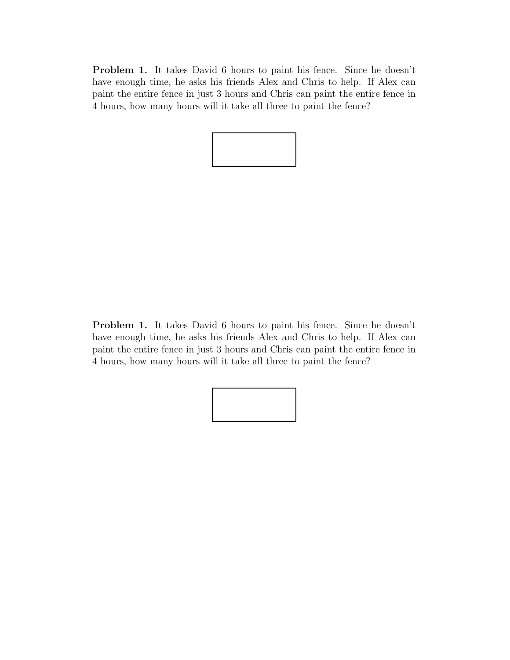Problem 1. It takes David 6 hours to paint his fence. Since he doesn't have enough time, he asks his friends Alex and Chris to help. If Alex can paint the entire fence in just 3 hours and Chris can paint the entire fence in 4 hours, how many hours will it take all three to paint the fence?



Problem 1. It takes David 6 hours to paint his fence. Since he doesn't have enough time, he asks his friends Alex and Chris to help. If Alex can paint the entire fence in just 3 hours and Chris can paint the entire fence in 4 hours, how many hours will it take all three to paint the fence?

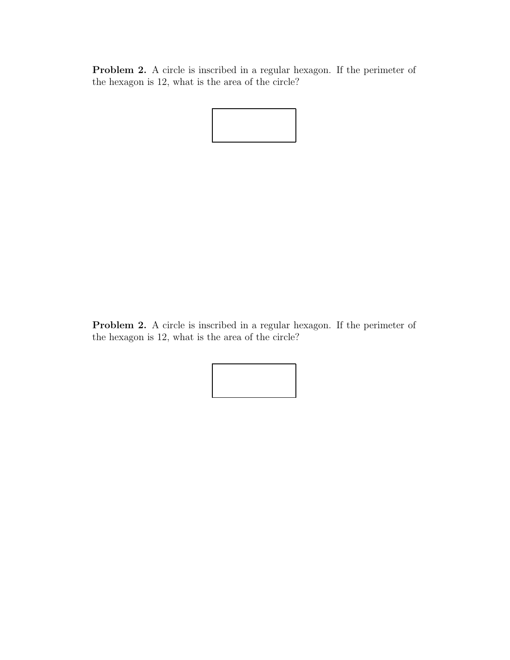Problem 2. A circle is inscribed in a regular hexagon. If the perimeter of the hexagon is 12, what is the area of the circle?



Problem 2. A circle is inscribed in a regular hexagon. If the perimeter of the hexagon is 12, what is the area of the circle?

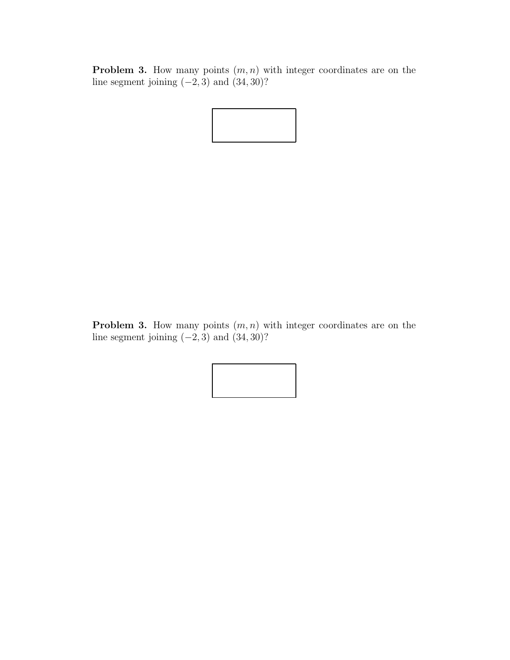**Problem 3.** How many points  $(m, n)$  with integer coordinates are on the line segment joining  $(-2, 3)$  and  $(34, 30)$ ?



**Problem 3.** How many points  $(m, n)$  with integer coordinates are on the line segment joining  $(-2, 3)$  and  $(34, 30)$ ?

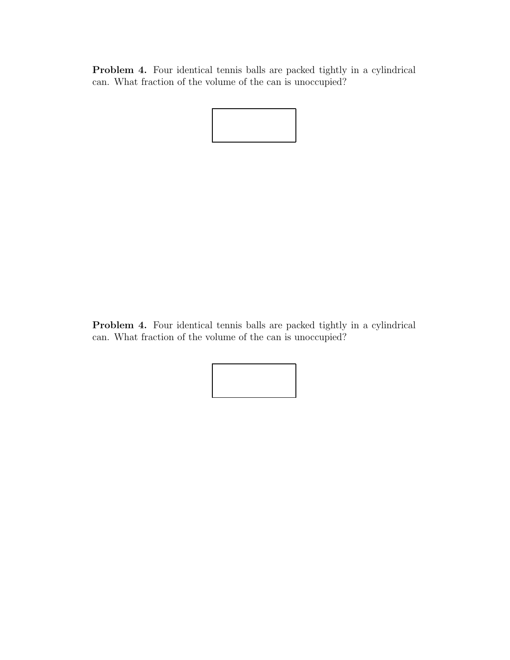Problem 4. Four identical tennis balls are packed tightly in a cylindrical can. What fraction of the volume of the can is unoccupied?



Problem 4. Four identical tennis balls are packed tightly in a cylindrical can. What fraction of the volume of the can is unoccupied?

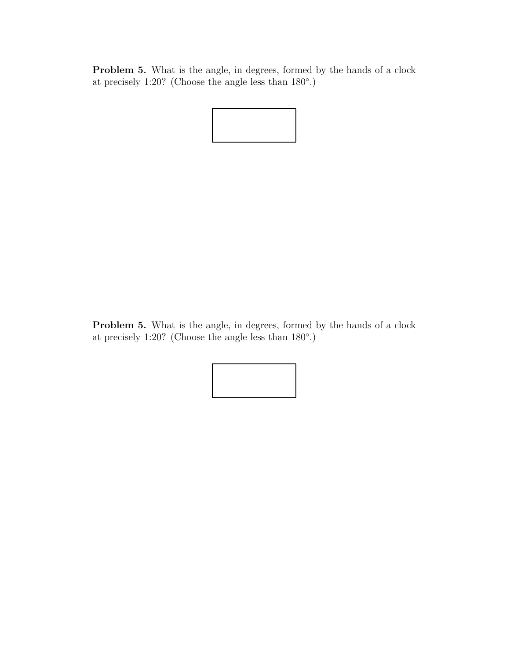Problem 5. What is the angle, in degrees, formed by the hands of a clock at precisely 1:20? (Choose the angle less than 180◦ .)



Problem 5. What is the angle, in degrees, formed by the hands of a clock at precisely 1:20? (Choose the angle less than 180◦ .)

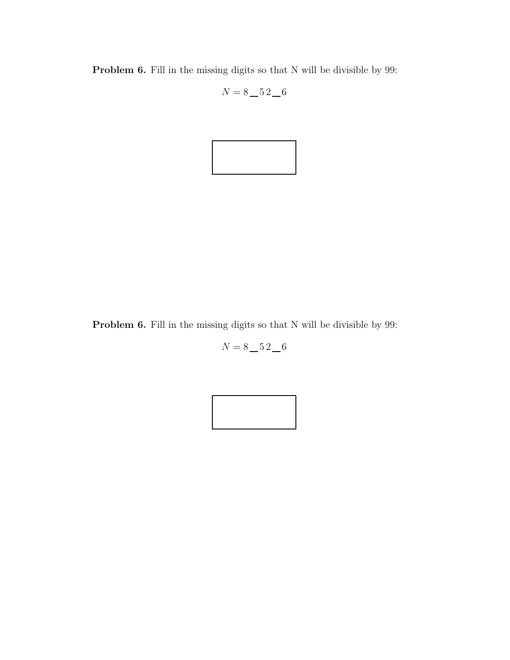Problem 6. Fill in the missing digits so that N will be divisible by 99:

$$
N = 8 \_ 52 \_ 6
$$



Problem 6. Fill in the missing digits so that N will be divisible by 99:

 $N = 8 - 52 - 6$ 

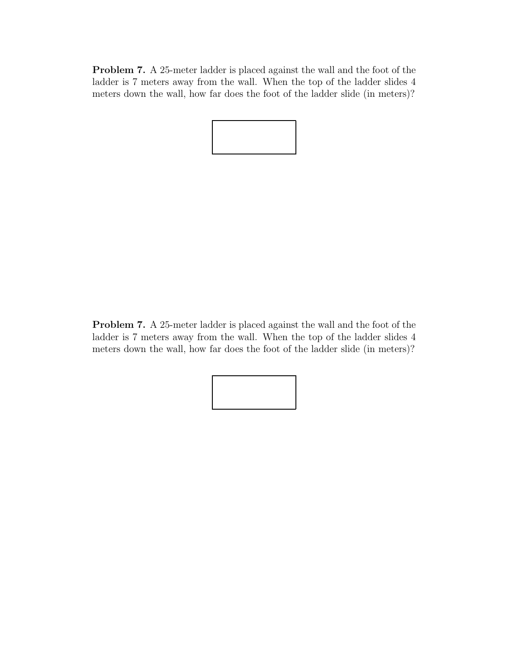Problem 7. A 25-meter ladder is placed against the wall and the foot of the ladder is 7 meters away from the wall. When the top of the ladder slides 4 meters down the wall, how far does the foot of the ladder slide (in meters)?

Problem 7. A 25-meter ladder is placed against the wall and the foot of the ladder is 7 meters away from the wall. When the top of the ladder slides 4 meters down the wall, how far does the foot of the ladder slide (in meters)?

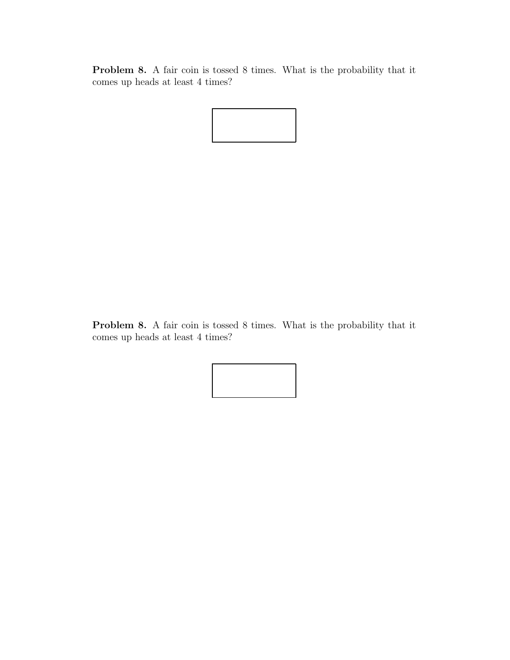Problem 8. A fair coin is tossed 8 times. What is the probability that it comes up heads at least 4 times?



Problem 8. A fair coin is tossed 8 times. What is the probability that it comes up heads at least 4 times?

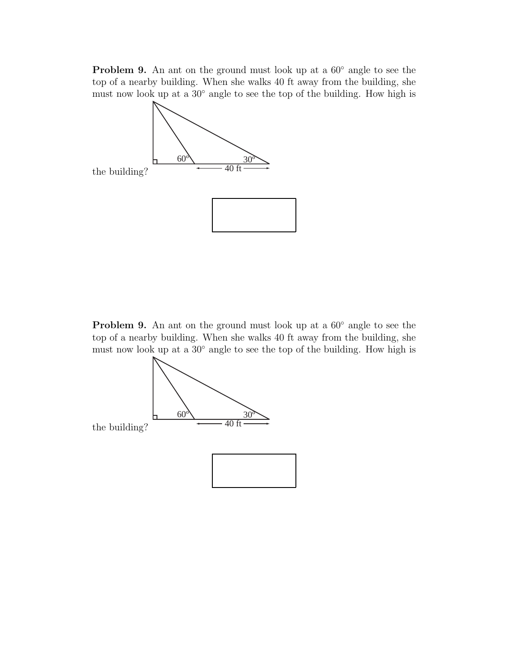Problem 9. An ant on the ground must look up at a 60◦ angle to see the top of a nearby building. When she walks 40 ft away from the building, she must now look up at a 30◦ angle to see the top of the building. How high is



Problem 9. An ant on the ground must look up at a 60◦ angle to see the top of a nearby building. When she walks 40 ft away from the building, she must now look up at a 30° angle to see the top of the building. How high is



the building?